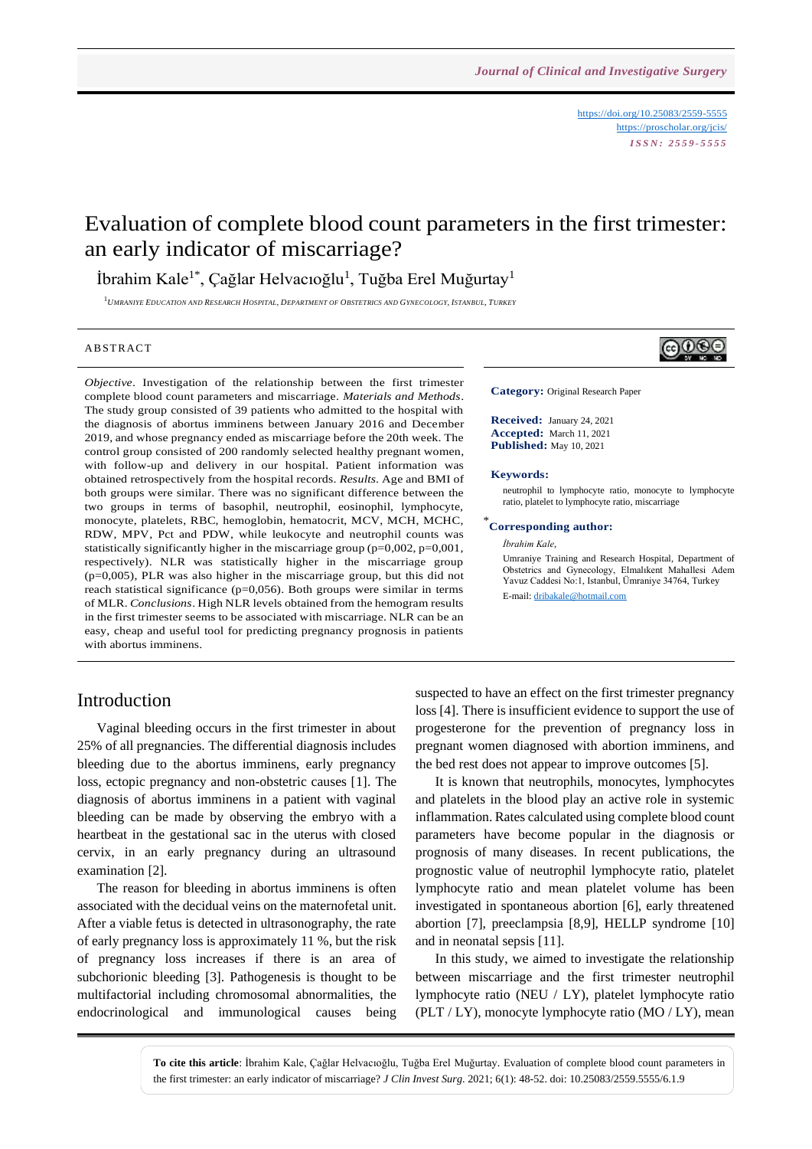<https://doi.org/10.25083/2559-5555> <https://proscholar.org/jcis/> *I S S N : 2 5 5 9 - 5 5 5 5*

# Evaluation of complete blood count parameters in the first trimester: an early indicator of miscarriage?

İbrahim Kale $^{1*}$ , Çağlar Helvacıoğlu $^{1}$ , Tuğba Erel Muğurtay $^{1}$ 

<sup>1</sup>UMRANIYE EDUCATION AND RESEARCH HOSPITAL, DEPARTMENT OF OBSTETRICS AND GYNECOLOGY, ISTANBUL, TURKEY

#### **ABSTRACT**

*Objective*. Investigation of the relationship between the first trimester complete blood count parameters and miscarriage. *Materials and Methods*. The study group consisted of 39 patients who admitted to the hospital with the diagnosis of abortus imminens between January 2016 and December 2019, and whose pregnancy ended as miscarriage before the 20th week. The control group consisted of 200 randomly selected healthy pregnant women, with follow-up and delivery in our hospital. Patient information was obtained retrospectively from the hospital records. *Results*. Age and BMI of both groups were similar. There was no significant difference between the two groups in terms of basophil, neutrophil, eosinophil, lymphocyte, monocyte, platelets, RBC, hemoglobin, hematocrit, MCV, MCH, MCHC, RDW, MPV, Pct and PDW, while leukocyte and neutrophil counts was statistically significantly higher in the miscarriage group (p=0,002, p=0,001, respectively). NLR was statistically higher in the miscarriage group (p=0,005), PLR was also higher in the miscarriage group, but this did not reach statistical significance  $(p=0,056)$ . Both groups were similar in terms of MLR. *Conclusions*. High NLR levels obtained from the hemogram results in the first trimester seems to be associated with miscarriage. NLR can be an easy, cheap and useful tool for predicting pregnancy prognosis in patients with abortus imminens.



**Category:** Original Research Paper

**Received:** January 24, 2021 **Accepted:** March 11, 2021 **Published:** May 10, 2021

#### **Keywords:**

\*

neutrophil to lymphocyte ratio, monocyte to lymphocyte ratio, platelet to lymphocyte ratio, miscarriage

#### **Corresponding author:**

*İbrahim Kale,*

Umraniye Training and Research Hospital, Department of Obstetrics and Gynecology, Elmalıkent Mahallesi Adem Yavuz Caddesi No:1, Istanbul, Ümraniye 34764, Turkey E-mail[: dribakale@hotmail.com](mailto:dribakale@hotmail.com) 

## Introduction

Vaginal bleeding occurs in the first trimester in about 25% of all pregnancies. The differential diagnosis includes bleeding due to the abortus imminens, early pregnancy loss, ectopic pregnancy and non-obstetric causes [1]. The diagnosis of abortus imminens in a patient with vaginal bleeding can be made by observing the embryo with a heartbeat in the gestational sac in the uterus with closed cervix, in an early pregnancy during an ultrasound examination [2].

The reason for bleeding in abortus imminens is often associated with the decidual veins on the maternofetal unit. After a viable fetus is detected in ultrasonography, the rate of early pregnancy loss is approximately 11 %, but the risk of pregnancy loss increases if there is an area of subchorionic bleeding [3]. Pathogenesis is thought to be multifactorial including chromosomal abnormalities, the endocrinological and immunological causes being suspected to have an effect on the first trimester pregnancy loss [4]. There is insufficient evidence to support the use of progesterone for the prevention of pregnancy loss in pregnant women diagnosed with abortion imminens, and the bed rest does not appear to improve outcomes [5].

It is known that neutrophils, monocytes, lymphocytes and platelets in the blood play an active role in systemic inflammation. Rates calculated using complete blood count parameters have become popular in the diagnosis or prognosis of many diseases. In recent publications, the prognostic value of neutrophil lymphocyte ratio, platelet lymphocyte ratio and mean platelet volume has been investigated in spontaneous abortion [6], early threatened abortion [7], preeclampsia [8,9], HELLP syndrome [10] and in neonatal sepsis [11].

In this study, we aimed to investigate the relationship between miscarriage and the first trimester neutrophil lymphocyte ratio (NEU / LY), platelet lymphocyte ratio (PLT / LY), monocyte lymphocyte ratio (MO / LY), mean

**To cite this article**: İbrahim Kale, Çağlar Helvacıoğlu, Tuğba Erel Muğurtay. Evaluation of complete blood count parameters in the first trimester: an early indicator of miscarriage? *J Clin Invest Surg*. 2021; 6(1): 48-52. doi: 10.25083/2559.5555/6.1.9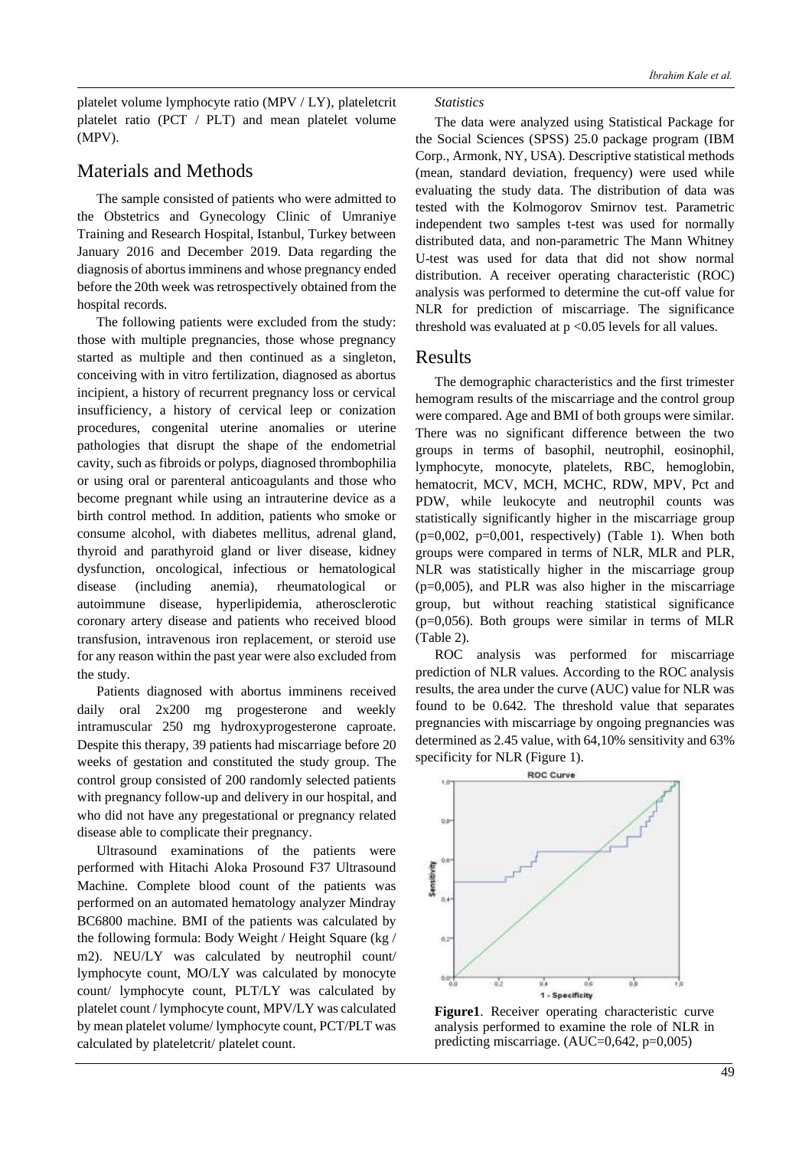platelet volume lymphocyte ratio (MPV / LY), plateletcrit platelet ratio (PCT / PLT) and mean platelet volume (MPV).

## Materials and Methods

The sample consisted of patients who were admitted to the Obstetrics and Gynecology Clinic of Umraniye Training and Research Hospital, Istanbul, Turkey between January 2016 and December 2019. Data regarding the diagnosis of abortus imminens and whose pregnancy ended before the 20th week was retrospectively obtained from the hospital records.

The following patients were excluded from the study: those with multiple pregnancies, those whose pregnancy started as multiple and then continued as a singleton, conceiving with in vitro fertilization, diagnosed as abortus incipient, a history of recurrent pregnancy loss or cervical insufficiency, a history of cervical leep or conization procedures, congenital uterine anomalies or uterine pathologies that disrupt the shape of the endometrial cavity, such as fibroids or polyps, diagnosed thrombophilia or using oral or parenteral anticoagulants and those who become pregnant while using an intrauterine device as a birth control method. In addition, patients who smoke or consume alcohol, with diabetes mellitus, adrenal gland, thyroid and parathyroid gland or liver disease, kidney dysfunction, oncological, infectious or hematological disease (including anemia), rheumatological or autoimmune disease, hyperlipidemia, atherosclerotic coronary artery disease and patients who received blood transfusion, intravenous iron replacement, or steroid use for any reason within the past year were also excluded from the study.

Patients diagnosed with abortus imminens received daily oral 2x200 mg progesterone and weekly intramuscular 250 mg hydroxyprogesterone caproate. Despite this therapy, 39 patients had miscarriage before 20 weeks of gestation and constituted the study group. The control group consisted of 200 randomly selected patients with pregnancy follow-up and delivery in our hospital, and who did not have any pregestational or pregnancy related disease able to complicate their pregnancy.

Ultrasound examinations of the patients were performed with Hitachi Aloka Prosound F37 Ultrasound Machine. Complete blood count of the patients was performed on an automated hematology analyzer Mindray BC6800 machine. BMI of the patients was calculated by the following formula: Body Weight / Height Square (kg / m2). NEU/LY was calculated by neutrophil count/ lymphocyte count, MO/LY was calculated by monocyte count/ lymphocyte count, PLT/LY was calculated by platelet count / lymphocyte count, MPV/LY was calculated by mean platelet volume/ lymphocyte count, PCT/PLT was calculated by plateletcrit/ platelet count.

#### *Statistics*

The data were analyzed using Statistical Package for the Social Sciences (SPSS) 25.0 package program (IBM Corp., Armonk, NY, USA). Descriptive statistical methods (mean, standard deviation, frequency) were used while evaluating the study data. The distribution of data was tested with the Kolmogorov Smirnov test. Parametric independent two samples t-test was used for normally distributed data, and non-parametric The Mann Whitney U-test was used for data that did not show normal distribution. A receiver operating characteristic (ROC) analysis was performed to determine the cut-off value for NLR for prediction of miscarriage. The significance threshold was evaluated at  $p < 0.05$  levels for all values.

### Results

The demographic characteristics and the first trimester hemogram results of the miscarriage and the control group were compared. Age and BMI of both groups were similar. There was no significant difference between the two groups in terms of basophil, neutrophil, eosinophil, lymphocyte, monocyte, platelets, RBC, hemoglobin, hematocrit, MCV, MCH, MCHC, RDW, MPV, Pct and PDW, while leukocyte and neutrophil counts was statistically significantly higher in the miscarriage group  $(p=0,002, p=0,001, respectively)$  (Table 1). When both groups were compared in terms of NLR, MLR and PLR, NLR was statistically higher in the miscarriage group (p=0,005), and PLR was also higher in the miscarriage group, but without reaching statistical significance  $(p=0.056)$ . Both groups were similar in terms of MLR (Table 2).

ROC analysis was performed for miscarriage prediction of NLR values. According to the ROC analysis results, the area under the curve (AUC) value for NLR was found to be 0.642. The threshold value that separates pregnancies with miscarriage by ongoing pregnancies was determined as 2.45 value, with 64,10% sensitivity and 63% specificity for NLR (Figure 1).



**Figure1**. Receiver operating characteristic curve analysis performed to examine the role of NLR in predicting miscarriage. (AUC=0,642, p=0,005)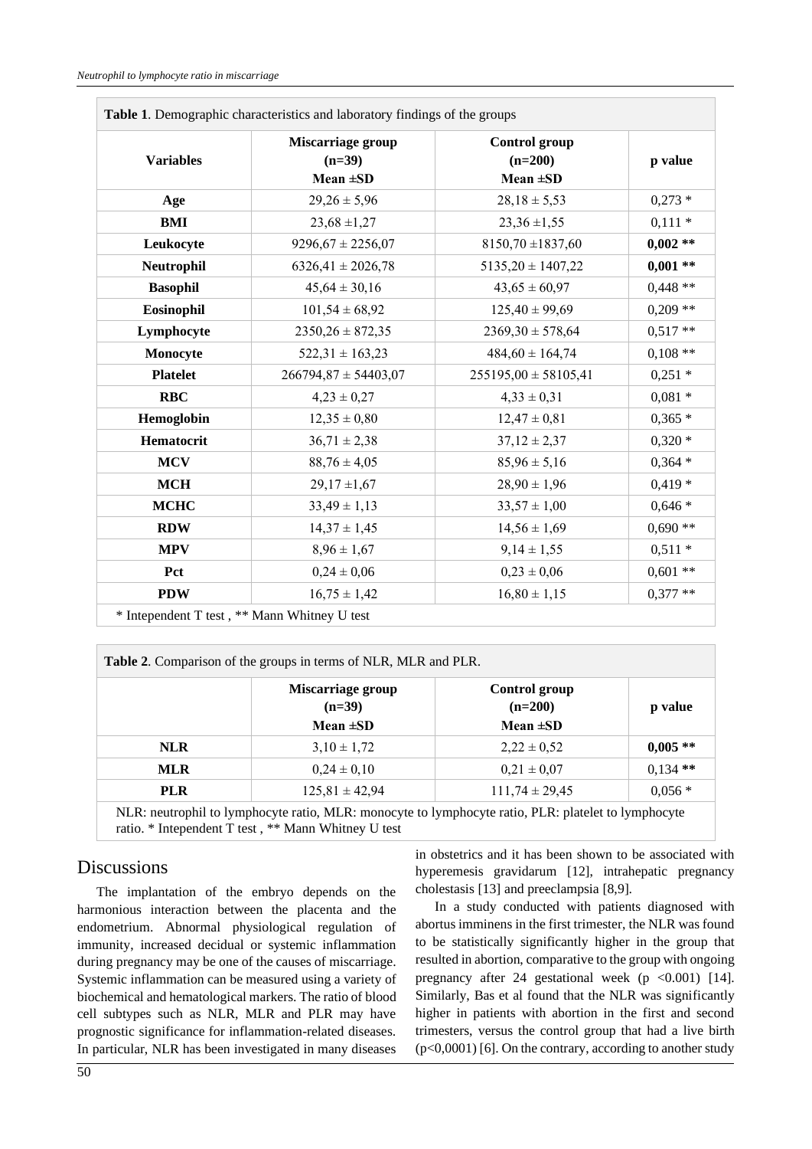$\Box$ 

| <b>Variables</b> | Miscarriage group<br>$(n=39)$<br>$Mean \pm SD$ | <b>Control</b> group<br>$(n=200)$<br>Mean $\pm SD$ | p value    |
|------------------|------------------------------------------------|----------------------------------------------------|------------|
|                  |                                                |                                                    |            |
| <b>BMI</b>       | $23,68 \pm 1,27$                               | $23,36 \pm 1,55$                                   | $0,111*$   |
| Leukocyte        | $9296,67 \pm 2256,07$                          | $8150,70 \pm 1837,60$                              | $0,002$ ** |
| Neutrophil       | $6326,41 \pm 2026,78$                          | $5135,20 \pm 1407,22$                              | $0,001**$  |
| <b>Basophil</b>  | $45,64 \pm 30,16$                              | $43,65 \pm 60,97$                                  | $0,448**$  |
| Eosinophil       | $101,54 \pm 68,92$                             | $125,40 \pm 99,69$                                 | $0,209**$  |
| Lymphocyte       | $2350,26 \pm 872,35$                           | $2369,30 \pm 578,64$                               | $0,517**$  |
| Monocyte         | $522,31 \pm 163,23$                            | $484,60 \pm 164,74$                                | $0,108**$  |
| <b>Platelet</b>  | $266794,87 \pm 54403,07$                       | $255195,00 \pm 58105,41$                           | $0,251*$   |
| <b>RBC</b>       | $4,23 \pm 0,27$                                | $4,33 \pm 0,31$                                    | $0,081*$   |
| Hemoglobin       | $12,35 \pm 0,80$                               | $12,47 \pm 0,81$                                   | $0,365*$   |
| Hematocrit       | $36,71 \pm 2,38$                               | $37,12 \pm 2,37$                                   | $0,320*$   |
| <b>MCV</b>       | $88,76 \pm 4,05$                               | $85,96 \pm 5,16$                                   | $0,364*$   |
| <b>MCH</b>       | $29,17 \pm 1,67$                               | $28,90 \pm 1,96$                                   | $0,419*$   |
| <b>MCHC</b>      | $33,49 \pm 1,13$                               | $33,57 \pm 1,00$                                   | $0,646*$   |
| <b>RDW</b>       | $14,37 \pm 1,45$                               | $14,56 \pm 1,69$                                   | $0.690**$  |
| <b>MPV</b>       | $8,96 \pm 1,67$                                | $9,14 \pm 1,55$                                    | $0,511*$   |
| Pct              | $0,24 \pm 0,06$                                | $0,23 \pm 0,06$                                    | $0.601**$  |
| <b>PDW</b>       | $16,75 \pm 1,42$                               | $16,80 \pm 1,15$                                   | $0,377**$  |

| Table 2. Comparison of the groups in terms of NLR, MLR and PLR. |                               |                                   |            |  |
|-----------------------------------------------------------------|-------------------------------|-----------------------------------|------------|--|
|                                                                 | Miscarriage group<br>$(n=39)$ | <b>Control group</b><br>$(n=200)$ | p value    |  |
|                                                                 | Mean $\pm SD$                 | Mean $\pm SD$                     |            |  |
| <b>NLR</b>                                                      | $3,10 \pm 1,72$               | $2,22 \pm 0,52$                   | $0.005**$  |  |
| <b>MLR</b>                                                      | $0,24 \pm 0,10$               | $0,21 \pm 0,07$                   | $0,134$ ** |  |
| <b>PLR</b>                                                      | $125,81 \pm 42,94$            | $111,74 \pm 29,45$                | $0,056*$   |  |
|                                                                 |                               |                                   |            |  |

NLR: neutrophil to lymphocyte ratio, MLR: monocyte to lymphocyte ratio, PLR: platelet to lymphocyte ratio. \* Intependent T test , \*\* Mann Whitney U test

## **Discussions**

The implantation of the embryo depends on the harmonious interaction between the placenta and the endometrium. Abnormal physiological regulation of immunity, increased decidual or systemic inflammation during pregnancy may be one of the causes of miscarriage. Systemic inflammation can be measured using a variety of biochemical and hematological markers. The ratio of blood cell subtypes such as NLR, MLR and PLR may have prognostic significance for inflammation-related diseases. In particular, NLR has been investigated in many diseases in obstetrics and it has been shown to be associated with hyperemesis gravidarum [12], intrahepatic pregnancy cholestasis [13] and preeclampsia [8,9].

In a study conducted with patients diagnosed with abortus imminens in the first trimester, the NLR was found to be statistically significantly higher in the group that resulted in abortion, comparative to the group with ongoing pregnancy after 24 gestational week  $(p \lt 0.001)$  [14]. Similarly, Bas et al found that the NLR was significantly higher in patients with abortion in the first and second trimesters, versus the control group that had a live birth (p<0,0001) [6]. On the contrary, according to another study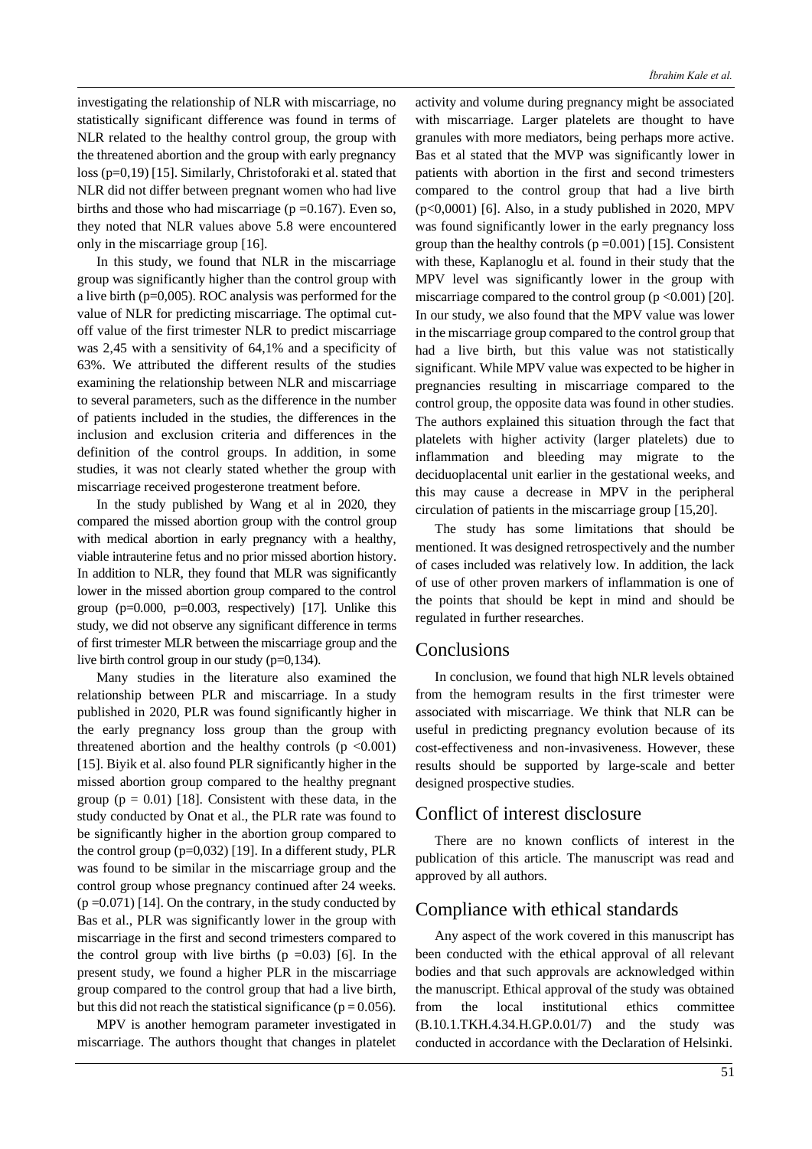investigating the relationship of NLR with miscarriage, no statistically significant difference was found in terms of NLR related to the healthy control group, the group with the threatened abortion and the group with early pregnancy loss (p=0,19) [15]. Similarly, Christoforaki et al. stated that NLR did not differ between pregnant women who had live births and those who had miscarriage ( $p = 0.167$ ). Even so, they noted that NLR values above 5.8 were encountered only in the miscarriage group [16].

In this study, we found that NLR in the miscarriage group was significantly higher than the control group with a live birth (p=0,005). ROC analysis was performed for the value of NLR for predicting miscarriage. The optimal cutoff value of the first trimester NLR to predict miscarriage was 2,45 with a sensitivity of 64,1% and a specificity of 63%. We attributed the different results of the studies examining the relationship between NLR and miscarriage to several parameters, such as the difference in the number of patients included in the studies, the differences in the inclusion and exclusion criteria and differences in the definition of the control groups. In addition, in some studies, it was not clearly stated whether the group with miscarriage received progesterone treatment before.

In the study published by Wang et al in 2020, they compared the missed abortion group with the control group with medical abortion in early pregnancy with a healthy, viable intrauterine fetus and no prior missed abortion history. In addition to NLR, they found that MLR was significantly lower in the missed abortion group compared to the control group  $(p=0.000, p=0.003,$  respectively) [17]. Unlike this study, we did not observe any significant difference in terms of first trimester MLR between the miscarriage group and the live birth control group in our study (p=0,134).

Many studies in the literature also examined the relationship between PLR and miscarriage. In a study published in 2020, PLR was found significantly higher in the early pregnancy loss group than the group with threatened abortion and the healthy controls  $(p \le 0.001)$ [15]. Biyik et al. also found PLR significantly higher in the missed abortion group compared to the healthy pregnant group ( $p = 0.01$ ) [18]. Consistent with these data, in the study conducted by Onat et al., the PLR rate was found to be significantly higher in the abortion group compared to the control group (p=0,032) [19]. In a different study, PLR was found to be similar in the miscarriage group and the control group whose pregnancy continued after 24 weeks.  $(p=0.071)$  [14]. On the contrary, in the study conducted by Bas et al., PLR was significantly lower in the group with miscarriage in the first and second trimesters compared to the control group with live births  $(p = 0.03)$  [6]. In the present study, we found a higher PLR in the miscarriage group compared to the control group that had a live birth, but this did not reach the statistical significance ( $p = 0.056$ ).

MPV is another hemogram parameter investigated in miscarriage. The authors thought that changes in platelet

activity and volume during pregnancy might be associated with miscarriage. Larger platelets are thought to have granules with more mediators, being perhaps more active. Bas et al stated that the MVP was significantly lower in patients with abortion in the first and second trimesters compared to the control group that had a live birth  $(p<0,0001)$  [6]. Also, in a study published in 2020, MPV was found significantly lower in the early pregnancy loss group than the healthy controls ( $p = 0.001$ ) [15]. Consistent with these, Kaplanoglu et al. found in their study that the MPV level was significantly lower in the group with miscarriage compared to the control group  $(p \le 0.001)$  [20]. In our study, we also found that the MPV value was lower in the miscarriage group compared to the control group that had a live birth, but this value was not statistically significant. While MPV value was expected to be higher in pregnancies resulting in miscarriage compared to the control group, the opposite data was found in other studies. The authors explained this situation through the fact that platelets with higher activity (larger platelets) due to inflammation and bleeding may migrate to the deciduoplacental unit earlier in the gestational weeks, and this may cause a decrease in MPV in the peripheral circulation of patients in the miscarriage group [15,20].

The study has some limitations that should be mentioned. It was designed retrospectively and the number of cases included was relatively low. In addition, the lack of use of other proven markers of inflammation is one of the points that should be kept in mind and should be regulated in further researches.

### **Conclusions**

In conclusion, we found that high NLR levels obtained from the hemogram results in the first trimester were associated with miscarriage. We think that NLR can be useful in predicting pregnancy evolution because of its cost-effectiveness and non-invasiveness. However, these results should be supported by large-scale and better designed prospective studies.

## Conflict of interest disclosure

There are no known conflicts of interest in the publication of this article. The manuscript was read and approved by all authors.

### Compliance with ethical standards

Any aspect of the work covered in this manuscript has been conducted with the ethical approval of all relevant bodies and that such approvals are acknowledged within the manuscript. Ethical approval of the study was obtained from the local institutional ethics committee (B.10.1.TKH.4.34.H.GP.0.01/7) and the study was conducted in accordance with the Declaration of Helsinki.